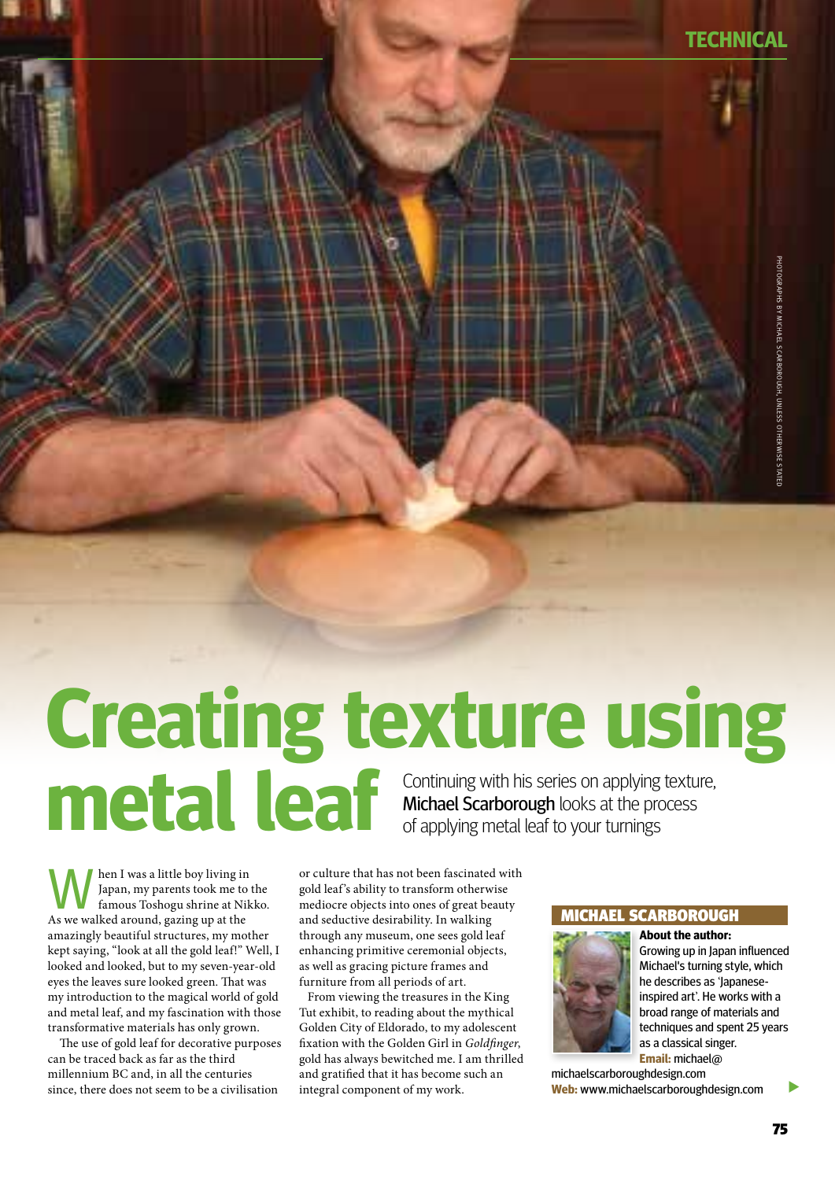**TECHNICAL**

# **Creating texture using metal leaf to your turnings**<br> **michael Scarborough** looks at the process of applying metal leaf to your turnings Michael Scarborough looks at the process of applying metal leaf to your turnings

When I was a little boy living in<br>Japan, my parents took me to<br>Annual Indian of Shopu shrine at Nik Japan, my parents took me to the famous Toshogu shrine at Nikko. As we walked around, gazing up at the amazingly beautiful structures, my mother kept saying, "look at all the gold leaf!" Well, I looked and looked, but to my seven-year-old eyes the leaves sure looked green. That was my introduction to the magical world of gold and metal leaf, and my fascination with those transformative materials has only grown.

The use of gold leaf for decorative purposes can be traced back as far as the third millennium BC and, in all the centuries since, there does not seem to be a civilisation

or culture that has not been fascinated with gold leaf's ability to transform otherwise mediocre objects into ones of great beauty and seductive desirability. In walking through any museum, one sees gold leaf enhancing primitive ceremonial objects, as well as gracing picture frames and furniture from all periods of art.

 From viewing the treasures in the King Tut exhibit, to reading about the mythical Golden City of Eldorado, to my adolescent fixation with the Golden Girl in *Goldfinger*, gold has always bewitched me. I am thrilled and gratified that it has become such an integral component of my work.

### Michael scarborough



**About the author:** Growing up in Japan influenced Michael's turning style, which he describes as 'Japaneseinspired art'. He works with a broad range of materials and techniques and spent 25 years as a classical singer. **Email:** michael@

michaelscarboroughdesign.com **Web:** www.michaelscarboroughdesign.com

 $\blacktriangleright$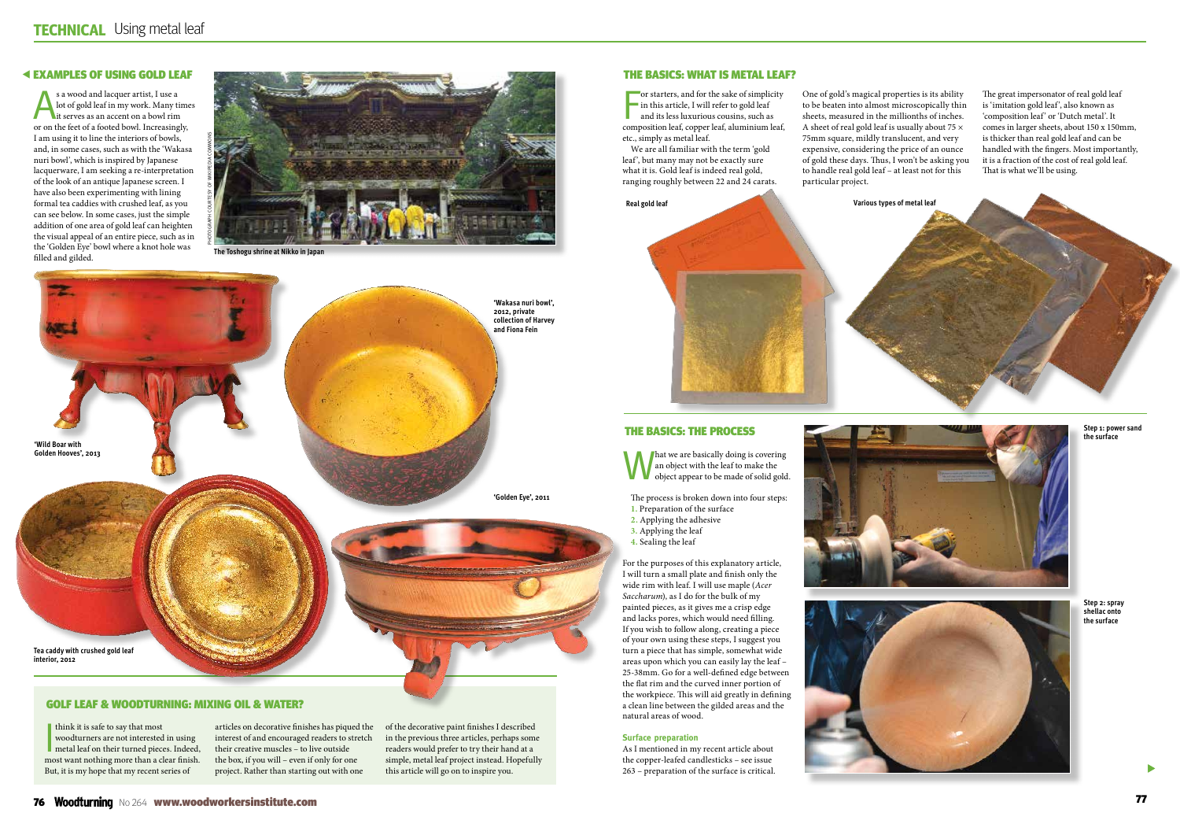77

 $\blacktriangleright$ 

# **TECHNICAL** Using metal leaf

#### EXAMPLES OF USING GOLD LEAF

s a wood and lacquer artist, I use a<br>lot of gold leaf in my work. Many tin<br>it serves as an accent on a bowl rim lot of gold leaf in my work. Many times or on the feet of a footed bowl. Increasingly, I am using it to line the interiors of bowls, and, in some cases, such as with the 'Wakasa nuri bowl', which is inspired by Japanese lacquerware, I am seeking a re-interpretation of the look of an antique Japanese screen. I have also been experimenting with lining formal tea caddies with crushed leaf, as you can see below. In some cases, just the simple addition of one area of gold leaf can heighten the visual appeal of an entire piece, such as in the 'Golden Eye' bowl where a knot hole was filled and gilded.

 $\begin{array}{|l|} \hline \text{or} \text{~starts}, \text{and for the sake of simplicity}\\ \hline \text{in this article, I will refer to gold leaf}\\ \text{and its less luxurious cousins, such as} \text{composition leaf, copper leaf, aluminum leaf,} \end{array}$ or starters, and for the sake of simplicity in this article, I will refer to gold leaf and its less luxurious cousins, such as etc., simply as metal leaf.

#### THE BASICS: WHAT IS METAL LEAF?

think it is safe to say that most<br>woodturners are not interested in using<br>metal leaf on their turned pieces. Indeed,  $\blacksquare$  think it is safe to say that most woodturners are not interested in using most want nothing more than a clear finish. But, it is my hope that my recent series of

We are all familiar with the term 'gold leaf', but many may not be exactly sure what it is. Gold leaf is indeed real gold, ranging roughly between 22 and 24 carats.

One of gold's magical properties is its ability to be beaten into almost microscopically thin sheets, measured in the millionths of inches. A sheet of real gold leaf is usually about 75  $\times$ 75mm square, mildly translucent, and very expensive, considering the price of an ounce of gold these days. Thus, I won't be asking you to handle real gold leaf – at least not for this particular project.



The great impersonator of real gold leaf is 'imitation gold leaf', also known as 'composition leaf' or 'Dutch metal'. It comes in larger sheets, about 150 x 150mm, is thicker than real gold leaf and can be handled with the fingers. Most importantly, it is a fraction of the cost of real gold leaf. That is what we'll be using.

# GOLF LEAF & WOODTURNING: MIXING OIL & WATER?



articles on decorative finishes has piqued the interest of and encouraged readers to stretch their creative muscles – to live outside the box, if you will – even if only for one project. Rather than starting out with one

of the decorative paint finishes I described in the previous three articles, perhaps some readers would prefer to try their hand at a simple, metal leaf project instead. Hopefully this article will go on to inspire you.

### THE BASICS: THE PROCESS

What we are basically doing is covering an object with the leaf to make the object appear to be made of solid gold.

The process is broken down into four steps:

- **1.** Preparation of the surface
- **2.** Applying the adhesive
- **3.** Applying the leaf
- **4.** Sealing the leaf

For the purposes of this explanatory article, I will turn a small plate and finish only the wide rim with leaf. I will use maple (*Acer Saccharum*), as I do for the bulk of my painted pieces, as it gives me a crisp edge and lacks pores, which would need filling. If you wish to follow along, creating a piece of your own using these steps, I suggest you turn a piece that has simple, somewhat wide areas upon which you can easily lay the leaf – 25-38mm. Go for a well-defined edge between the flat rim and the curved inner portion of the workpiece. This will aid greatly in defining a clean line between the gilded areas and the natural areas of wood.

#### **Surface preparation**

As I mentioned in my recent article about the copper-leafed candlesticks – see issue 263 – preparation of the surface is critical.







**The Toshogu shrine at Nikko in Japan**

#### **Real gold leaf Various types of metal leaf**

**Step 1: power sand the surface**